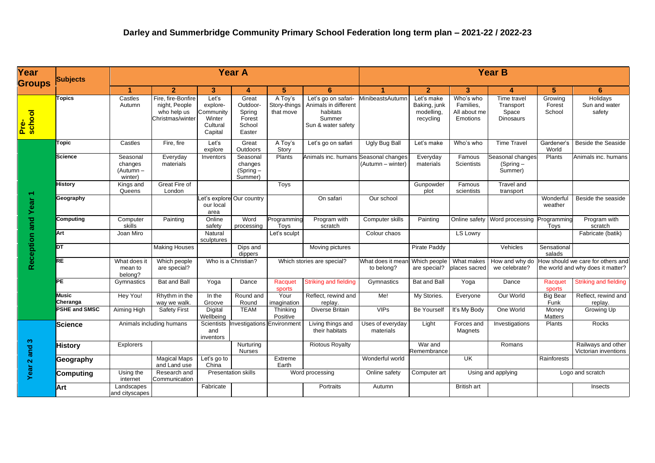| Year<br><b>Groups</b>       | <b>Subjects</b>      |                                             |                                                                        | <b>Year A</b>                                                   |                                                           |                                      | <b>Year B</b>                                                                           |                                       |                                                       |                                                    |                                                       |                                                                        |                                            |
|-----------------------------|----------------------|---------------------------------------------|------------------------------------------------------------------------|-----------------------------------------------------------------|-----------------------------------------------------------|--------------------------------------|-----------------------------------------------------------------------------------------|---------------------------------------|-------------------------------------------------------|----------------------------------------------------|-------------------------------------------------------|------------------------------------------------------------------------|--------------------------------------------|
|                             |                      | 1                                           | $\overline{2}$                                                         | 3                                                               | 4                                                         | 5                                    | 6                                                                                       | 4                                     | $\overline{2}$                                        | 3                                                  | 4                                                     | 5                                                                      | 6                                          |
| Pre-<br><mark>school</mark> | opics                | Castles<br>Autumn                           | Fire, fire-Bonfire<br>night, People<br>who help us<br>Christmas/winter | Let's<br>explore-<br>Community<br>Winter<br>Cultural<br>Capital | Great<br>Outdoor-<br>Spring<br>Forest<br>School<br>Easter | A Toy's<br>Story-things<br>that move | Let's go on safari-<br>Animals in different<br>habitats<br>Summer<br>Sun & water safety | MinibeastsAutumn                      | Let's make<br>Baking, junk<br>modelling,<br>recycling | Who's who<br>Families,<br>All about me<br>Emotions | Time travel<br>Transport<br>Space<br><b>Dinosaurs</b> | Growing<br>Forest<br>School                                            | Holidays<br>Sun and water<br>safety        |
| Reception and Year 1        | opic                 | Castles                                     | Fire, fire                                                             | Let's<br>explore                                                | Great<br>Outdoors                                         | A Toy's<br>Story                     | Let's go on safari                                                                      | <b>Ugly Bug Ball</b>                  | Let's make                                            | Who's who                                          | <b>Time Travel</b>                                    | Gardener's<br>World                                                    | Beside the Seaside                         |
|                             | <b>Science</b>       | Seasonal<br>changes<br>(Autumn –<br>winter) | Everyday<br>materials                                                  | Inventors                                                       | Seasonal<br>changes<br>(Spring-<br>Summer)                | Plants                               | Animals inc. humans                                                                     | Seasonal changes<br>(Autumn – winter) | Everyday<br>materials                                 | Famous<br><b>Scientists</b>                        | Seasonal changes<br>$(Spring -$<br>Summer)            | Plants                                                                 | Animals inc. humans                        |
|                             | <b>History</b>       | Kings and<br>Queens                         | Great Fire of<br>London                                                |                                                                 |                                                           | Toys                                 |                                                                                         |                                       | Gunpowder<br>plot                                     | Famous<br>scientists                               | Travel and<br>transport                               |                                                                        |                                            |
|                             | Geography            |                                             |                                                                        | Let's explore Our country<br>our local<br>area                  |                                                           |                                      | On safari                                                                               | Our school                            |                                                       |                                                    |                                                       | Wonderful<br>weather                                                   | Beside the seaside                         |
|                             | Computing            | Computer<br>skills                          | Painting                                                               | Online<br>safety                                                | Word<br>processing                                        | Programming<br>Toys                  | Program with<br>scratch                                                                 | Computer skills                       | Painting                                              | Online safety                                      | Word processing                                       | Programming<br>Toys                                                    | Program with<br>scratch                    |
|                             | Art                  | Joan Miro                                   |                                                                        | Natural<br>sculptures                                           |                                                           | Let's sculpt                         |                                                                                         | Colour chaos                          |                                                       | <b>LS Lowry</b>                                    |                                                       |                                                                        | Fabricate (batik)                          |
|                             | DT                   |                                             | <b>Making Houses</b>                                                   |                                                                 | Dips and<br>dippers                                       |                                      | Moving pictures                                                                         |                                       | Pirate Paddy                                          |                                                    | Vehicles                                              | Sensational<br>salads                                                  |                                            |
|                             | <b>RE</b>            | What does it<br>mean to<br>belong?          | Which people<br>are special?                                           | Who is a Christian?                                             |                                                           | Which stories are special?           |                                                                                         | What does it mear<br>to belong?       | Which people<br>are special?                          | What makes<br>places sacred                        | How and why do<br>we celebrate?                       | How should we care for others and<br>the world and why does it matter? |                                            |
|                             | <b>PE</b>            | Gymnastics                                  | <b>Bat and Ball</b>                                                    | Yoga                                                            | Dance                                                     | Racquet<br>sports                    | <b>Striking and fielding</b>                                                            | Gymnastics                            | <b>Bat and Ball</b>                                   | Yoga                                               | Dance                                                 | Racquet<br>sports                                                      | <b>Striking and fielding</b>               |
|                             | Music<br>Cheranga    | Hey You!                                    | Rhythm in the<br>way we walk.                                          | In the<br>Groove                                                | Round and<br>Round                                        | Your<br>imagination                  | Reflect, rewind and<br>replay.                                                          | Me!                                   | My Stories.                                           | Everyone                                           | Our World                                             | <b>Big Bear</b><br>Funk                                                | Reflect, rewind and<br>replay.             |
|                             | <b>PSHE and SMSC</b> | Aiming High                                 | <b>Safety First</b>                                                    | Digital<br>Wellbeing                                            | <b>TEAM</b>                                               | Thinking<br>Positive                 | Diverse Britain                                                                         | <b>VIPs</b>                           | <b>Be Yourself</b>                                    | It's My Body                                       | One World                                             | Money<br><b>Matters</b>                                                | Growing Up                                 |
| က<br>Year 2 and             | <b>Science</b>       | Animals including humans                    |                                                                        | <b>Scientists</b><br>and<br>inventors                           | Investigations                                            | Environment                          | Living things and<br>their habitats                                                     | Uses of everyday<br>materials         | Light                                                 | Forces and<br>Magnets                              | Investigations                                        | Plants                                                                 | Rocks                                      |
|                             | <b>History</b>       | <b>Explorers</b>                            |                                                                        |                                                                 | Nurturing<br><b>Nurses</b>                                |                                      | <b>Riotous Royalty</b>                                                                  |                                       | War and<br>Remembrance                                |                                                    | Romans                                                |                                                                        | Railways and other<br>Victorian inventions |
|                             | Geography            |                                             | <b>Magical Maps</b><br>and Land use                                    | Let's go to<br>China                                            |                                                           | Extreme<br>Earth                     |                                                                                         | Wonderful world                       |                                                       | UK                                                 |                                                       | Rainforests                                                            |                                            |
|                             | Computing            | Using the<br>internet                       | Research and<br>Communication                                          | <b>Presentation skills</b>                                      |                                                           | Word processing                      |                                                                                         | Online safety                         | Computer art                                          | Using and applying                                 |                                                       | Logo and scratch                                                       |                                            |
|                             | Art                  | Landscapes<br>and cityscapes                |                                                                        | Fabricate                                                       |                                                           |                                      | Portraits                                                                               | Autumn                                |                                                       | <b>British art</b>                                 |                                                       |                                                                        | Insects                                    |